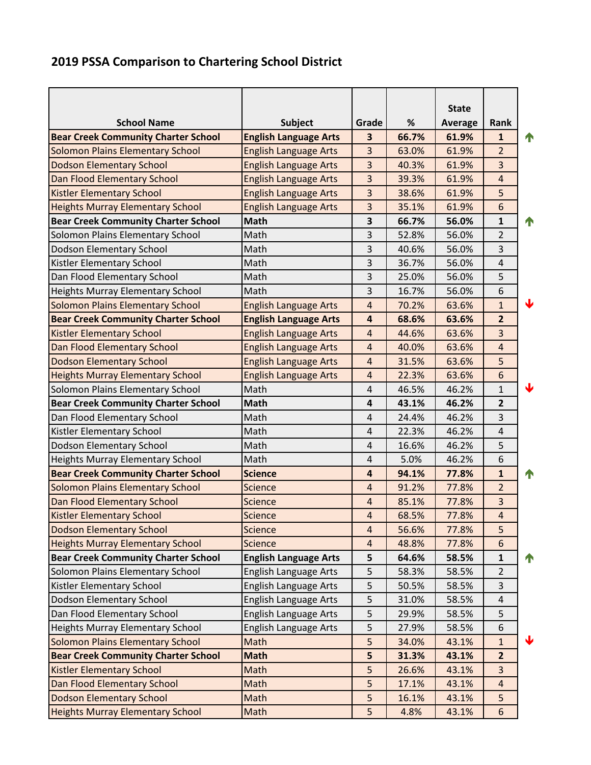## **2019 PSSA Comparison to Chartering School District**

|                                            |                              |                         |       | <b>State</b>   |                |                      |
|--------------------------------------------|------------------------------|-------------------------|-------|----------------|----------------|----------------------|
| <b>School Name</b>                         | <b>Subject</b>               | Grade                   | %     | <b>Average</b> | Rank           |                      |
| <b>Bear Creek Community Charter School</b> | <b>English Language Arts</b> | 3                       | 66.7% | 61.9%          | $\mathbf{1}$   | 1                    |
| <b>Solomon Plains Elementary School</b>    | <b>English Language Arts</b> | $\overline{3}$          | 63.0% | 61.9%          | $\overline{2}$ |                      |
| <b>Dodson Elementary School</b>            | <b>English Language Arts</b> | 3                       | 40.3% | 61.9%          | $\overline{3}$ |                      |
| Dan Flood Elementary School                | <b>English Language Arts</b> | 3                       | 39.3% | 61.9%          | $\overline{4}$ |                      |
| <b>Kistler Elementary School</b>           | <b>English Language Arts</b> | 3                       | 38.6% | 61.9%          | 5              |                      |
| <b>Heights Murray Elementary School</b>    | <b>English Language Arts</b> | 3                       | 35.1% | 61.9%          | 6              |                      |
| <b>Bear Creek Community Charter School</b> | <b>Math</b>                  | 3                       | 66.7% | 56.0%          | $\mathbf{1}$   | $\blacktriangleleft$ |
| Solomon Plains Elementary School           | Math                         | 3                       | 52.8% | 56.0%          | $\overline{2}$ |                      |
| Dodson Elementary School                   | Math                         | 3                       | 40.6% | 56.0%          | 3              |                      |
| Kistler Elementary School                  | Math                         | 3                       | 36.7% | 56.0%          | 4              |                      |
| Dan Flood Elementary School                | Math                         | 3                       | 25.0% | 56.0%          | 5              |                      |
| <b>Heights Murray Elementary School</b>    | Math                         | 3                       | 16.7% | 56.0%          | 6              |                      |
| Solomon Plains Elementary School           | <b>English Language Arts</b> | $\overline{4}$          | 70.2% | 63.6%          | $\mathbf{1}$   | ↓                    |
| <b>Bear Creek Community Charter School</b> | <b>English Language Arts</b> | $\overline{\mathbf{4}}$ | 68.6% | 63.6%          | $\overline{2}$ |                      |
| <b>Kistler Elementary School</b>           | <b>English Language Arts</b> | $\overline{a}$          | 44.6% | 63.6%          | $\overline{3}$ |                      |
| Dan Flood Elementary School                | <b>English Language Arts</b> | $\overline{4}$          | 40.0% | 63.6%          | $\overline{4}$ |                      |
| <b>Dodson Elementary School</b>            | <b>English Language Arts</b> | $\overline{4}$          | 31.5% | 63.6%          | 5              |                      |
| <b>Heights Murray Elementary School</b>    | <b>English Language Arts</b> | $\overline{4}$          | 22.3% | 63.6%          | 6              |                      |
| Solomon Plains Elementary School           | Math                         | $\overline{4}$          | 46.5% | 46.2%          | $\mathbf{1}$   | ↓                    |
| <b>Bear Creek Community Charter School</b> | <b>Math</b>                  | 4                       | 43.1% | 46.2%          | $\overline{2}$ |                      |
| Dan Flood Elementary School                | Math                         | $\overline{4}$          | 24.4% | 46.2%          | 3              |                      |
| Kistler Elementary School                  | Math                         | 4                       | 22.3% | 46.2%          | 4              |                      |
| Dodson Elementary School                   | Math                         | 4                       | 16.6% | 46.2%          | 5              |                      |
| <b>Heights Murray Elementary School</b>    | Math                         | $\pmb{4}$               | 5.0%  | 46.2%          | 6              |                      |
| <b>Bear Creek Community Charter School</b> | <b>Science</b>               | $\overline{\mathbf{4}}$ | 94.1% | 77.8%          | $\mathbf{1}$   | $\blacktriangleleft$ |
| <b>Solomon Plains Elementary School</b>    | <b>Science</b>               | $\overline{4}$          | 91.2% | 77.8%          | $\overline{2}$ |                      |
| Dan Flood Elementary School                | <b>Science</b>               | $\overline{a}$          | 85.1% | 77.8%          | 3              |                      |
| <b>Kistler Elementary School</b>           | Science                      | $\overline{4}$          | 68.5% | 77.8%          | $\overline{4}$ |                      |
| <b>Dodson Elementary School</b>            | <b>Science</b>               | 4                       | 56.6% | 77.8%          | 5              |                      |
| <b>Heights Murray Elementary School</b>    | <b>Science</b>               | $\overline{4}$          | 48.8% | 77.8%          | 6              |                      |
| <b>Bear Creek Community Charter School</b> | <b>English Language Arts</b> | 5                       | 64.6% | 58.5%          | $\mathbf{1}$   | 4                    |
| Solomon Plains Elementary School           | <b>English Language Arts</b> | 5                       | 58.3% | 58.5%          | $\overline{2}$ |                      |
| Kistler Elementary School                  | <b>English Language Arts</b> | 5                       | 50.5% | 58.5%          | 3              |                      |
| Dodson Elementary School                   | <b>English Language Arts</b> | 5                       | 31.0% | 58.5%          | 4              |                      |
| Dan Flood Elementary School                | English Language Arts        | 5                       | 29.9% | 58.5%          | 5              |                      |
| <b>Heights Murray Elementary School</b>    | English Language Arts        | 5                       | 27.9% | 58.5%          | 6              |                      |
| <b>Solomon Plains Elementary School</b>    | Math                         | 5                       | 34.0% | 43.1%          | $\mathbf{1}$   | ♦                    |
| <b>Bear Creek Community Charter School</b> | <b>Math</b>                  | 5                       | 31.3% | 43.1%          | $\overline{2}$ |                      |
| <b>Kistler Elementary School</b>           | Math                         | 5                       | 26.6% | 43.1%          | 3              |                      |
| Dan Flood Elementary School                | Math                         | 5                       | 17.1% | 43.1%          | $\overline{4}$ |                      |
| <b>Dodson Elementary School</b>            | Math                         | 5                       | 16.1% | 43.1%          | 5              |                      |
| <b>Heights Murray Elementary School</b>    | Math                         | 5                       | 4.8%  | 43.1%          | 6              |                      |